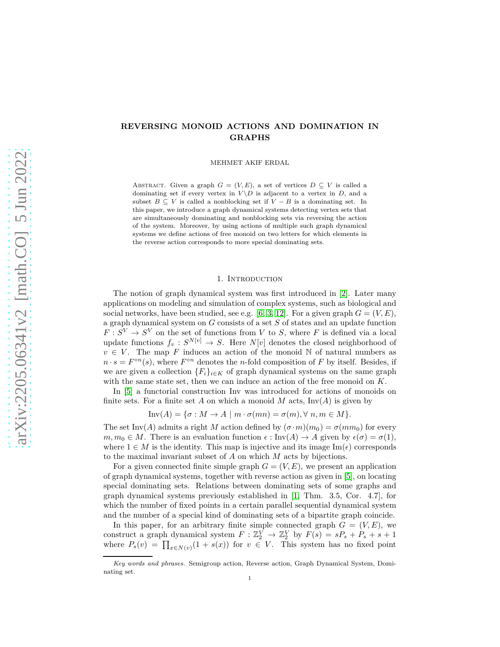# **REVERSING MONOID ACTIONS AND DOMINATION IN GRAPHS**

MEHMET AKIF ERDAL

ABSTRACT. Given a graph  $G = (V, E)$ , a set of vertices  $D \subseteq V$  is called a dominating set if every vertex in  $V \ D$  is adjacent to a vertex in *D*, and a subset  $B \subseteq V$  is called a nonblocking set if  $V - B$  is a dominating set. In this paper, we introduce a graph dynamical systems detecting vertex sets that are simultaneously dominating and nonblocking sets via reversing the action of the system. Moreover, by using actions of multiple such graph dynamical systems we define actions of free monoid on two letters for which elements in the reverse action corresponds to more special dominating sets.

### 1. INTRODUCTION

The notion of graph dynamical system was first introduced in [\[2\]](#page-8-0). Later many applications on modeling and simulation of complex systems, such as biological and social networks, have been studied, see e.g. [\[6,](#page-8-1) [3,](#page-8-2) [12\]](#page-9-0). For a given graph  $G = (V, E)$ , a graph dynamical system on *G* consists of a set *S* of states and an update function  $F: S^V \to S^V$  on the set of functions from *V* to *S*, where *F* is defined via a local update functions  $f_v: S^{N[v]} \to S$ . Here  $N[v]$  denotes the closed neighborhood of  $v \in V$ . The map *F* induces an action of the monoid N of natural numbers as  $n \cdot s = F^{\circ n}(s)$ , where  $F^{\circ n}$  denotes the *n*-fold composition of *F* by itself. Besides, if we are given a collection  ${F_i}_{i \in K}$  of graph dynamical systems on the same graph with the same state set, then we can induce an action of the free monoid on *K*.

In [\[5\]](#page-8-3) a functorial construction Inv was introduced for actions of monoids on finite sets. For a finite set A on which a monoid M acts,  $\text{Inv}(A)$  is given by

$$
\text{Inv}(A) = \{ \sigma : M \to A \mid m \cdot \sigma(mn) = \sigma(m), \forall n, m \in M \}.
$$

The set Inv(*A*) admits a right *M* action defined by  $(\sigma \cdot m)(m_0) = \sigma(mm_0)$  for every  $m, m_0 \in M$ . There is an evaluation function  $\epsilon : \text{Inv}(A) \to A$  given by  $\epsilon(\sigma) = \sigma(1)$ , where  $1 \in M$  is the identity. This map is injective and its image  $\text{Im}(\epsilon)$  corresponds to the maximal invariant subset of *A* on which *M* acts by bijections.

For a given connected finite simple graph  $G = (V, E)$ , we present an application of graph dynamical systems, together with reverse action as given in [\[5\]](#page-8-3), on locating special dominating sets. Relations between dominating sets of some graphs and graph dynamical systems previously established in [\[1,](#page-8-4) Thm. 3.5, Cor. 4.7], for which the number of fixed points in a certain parallel sequential dynamical system and the number of a special kind of dominating sets of a bipartite graph coincide.

In this paper, for an arbitrary finite simple connected graph  $G = (V, E)$ , we construct a graph dynamical system  $F: \mathbb{Z}_2^V \to \mathbb{Z}_2^V$  by  $F(s) = sP_s + P_s + s + 1$ where  $P_s(v) = \prod_{x \in N(v)} (1 + s(x))$  for  $v \in V$ . This system has no fixed point

*Key words and phrases.* Semigroup action, Reverse action, Graph Dynamical System, Dominating set.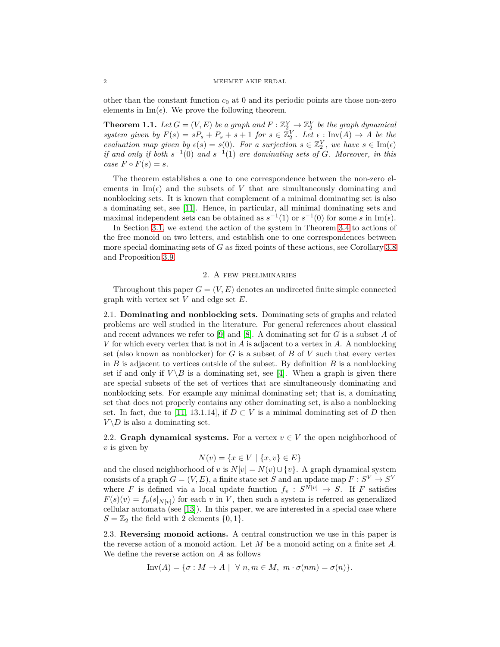other than the constant function  $c_0$  at 0 and its periodic points are those non-zero elements in  $\text{Im}(\epsilon)$ . We prove the following theorem.

**Theorem 1.1.** Let  $G = (V, E)$  be a graph and  $F : \mathbb{Z}_2^V \to \mathbb{Z}_2^V$  be the graph dynamical *system given by*  $F(s) = sP_s + P_s + s + 1$  *for*  $s \in \mathbb{Z}_2^V$ . Let  $\epsilon$ : Inv(*A*)  $\rightarrow$  *A be the evaluation map given by*  $\epsilon(s) = s(0)$ *. For a surjection*  $s \in \mathbb{Z}_2^V$ *, we have*  $s \in \text{Im}(\epsilon)$ *if and only if both*  $s^{-1}(0)$  *and*  $s^{-1}(1)$  *are dominating sets of G. Moreover, in this*  $case \, F \circ F(s) = s.$ 

The theorem establishes a one to one correspondence between the non-zero elements in  $\text{Im}(\epsilon)$  and the subsets of *V* that are simultaneously dominating and nonblocking sets. It is known that complement of a minimal dominating set is also a dominating set, see [\[11\]](#page-9-1). Hence, in particular, all minimal dominating sets and maximal independent sets can be obtained as  $s^{-1}(1)$  or  $s^{-1}(0)$  for some *s* in Im( $\epsilon$ ).

In Section [3.1,](#page-6-0) we extend the action of the system in Theorem [3.4](#page-4-0) to actions of the free monoid on two letters, and establish one to one correspondences between more special dominating sets of *G* as fixed points of these actions, see Corollary [3.8](#page-7-0) and Proposition [3.9.](#page-7-1)

## 2. A few preliminaries

Throughout this paper  $G = (V, E)$  denotes an undirected finite simple connected graph with vertex set *V* and edge set *E*.

2.1. **Dominating and nonblocking sets.** Dominating sets of graphs and related problems are well studied in the literature. For general references about classical and recent advances we refer to [\[9\]](#page-9-2) and [\[8\]](#page-9-3). A dominating set for *G* is a subset *A* of *V* for which every vertex that is not in *A* is adjacent to a vertex in *A*. A nonblocking set (also known as nonblocker) for *G* is a subset of *B* of *V* such that every vertex in *B* is adjacent to vertices outside of the subset. By definition *B* is a nonblocking set if and only if  $V \setminus B$  is a dominating set, see [\[4\]](#page-8-5). When a graph is given there are special subsets of the set of vertices that are simultaneously dominating and nonblocking sets. For example any minimal dominating set; that is, a dominating set that does not properly contains any other dominating set, is also a nonblocking set. In fact, due to [\[11,](#page-9-1) 13.1.14], if  $D \subset V$  is a minimal dominating set of *D* then  $V \backslash D$  is also a dominating set.

2.2. **Graph dynamical systems.** For a vertex  $v \in V$  the open neighborhood of *v* is given by

$$
N(v) = \{ x \in V \mid \{x, v\} \in E \}
$$

and the closed neighborhood of *v* is  $N[v] = N(v) \cup \{v\}$ . A graph dynamical system  $\alpha$  consists of a graph  $G = (V, E)$ , a finite state set *S* and an update map  $F : S^V \to S^V$ where *F* is defined via a local update function  $f_v : S^{N[v]} \to S$ . If *F* satisfies  $F(s)(v) = f_v(s|_{N[v]})$  for each *v* in *V*, then such a system is referred as generalized cellular automata (see [\[13\]](#page-9-4)). In this paper, we are interested in a special case where  $S = \mathbb{Z}_2$  the field with 2 elements  $\{0, 1\}.$ 

2.3. **Reversing monoid actions.** A central construction we use in this paper is the reverse action of a monoid action. Let *M* be a monoid acting on a finite set *A*. We define the reverse action on *A* as follows

$$
\text{Inv}(A) = \{ \sigma : M \to A \mid \forall n, m \in M, m \cdot \sigma(nm) = \sigma(n) \}.
$$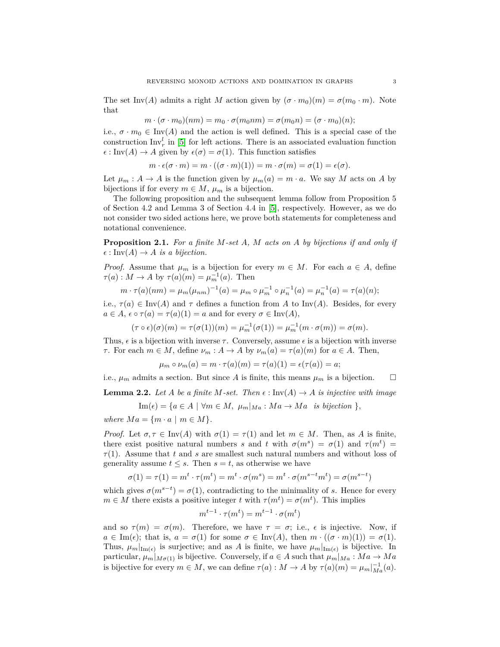The set Inv(*A*) admits a right *M* action given by  $(\sigma \cdot m_0)(m) = \sigma(m_0 \cdot m)$ . Note that

$$
m \cdot (\sigma \cdot m_0)(nm) = m_0 \cdot \sigma(m_0nm) = \sigma(m_0n) = (\sigma \cdot m_0)(n);
$$

i.e.,  $\sigma \cdot m_0 \in \text{Inv}(A)$  and the action is well defined. This is a special case of the construction  $\text{Inv}_r^l$  in [\[5\]](#page-8-3) for left actions. There is an associated evaluation function  $\epsilon$ : Inv(*A*)  $\rightarrow$  *A* given by  $\epsilon(\sigma) = \sigma(1)$ . This function satisfies

$$
m \cdot \epsilon(\sigma \cdot m) = m \cdot ((\sigma \cdot m)(1)) = m \cdot \sigma(m) = \sigma(1) = \epsilon(\sigma).
$$

Let  $\mu_m : A \to A$  is the function given by  $\mu_m(a) = m \cdot a$ . We say M acts on A by bijections if for every  $m \in M$ ,  $\mu_m$  is a bijection.

The following proposition and the subsequent lemma follow from Proposition 5 of Section 4.2 and Lemma 3 of Section 4.4 in [\[5\]](#page-8-3), respectively. However, as we do not consider two sided actions here, we prove both statements for completeness and notational convenience.

**Proposition 2.1.** *For a finite M-set A, M acts on A by bijections if and only if*  $\epsilon: \text{Inv}(A) \to A$  *is a bijection.* 

*Proof.* Assume that  $\mu_m$  is a bijection for every  $m \in M$ . For each  $a \in A$ , define  $\tau(a): M \to A$  by  $\tau(a)(m) = \mu_m^{-1}(a)$ . Then

$$
m \cdot \tau(a)(nm) = \mu_m(\mu_{nm})^{-1}(a) = \mu_m \circ \mu_m^{-1} \circ \mu_n^{-1}(a) = \mu_n^{-1}(a) = \tau(a)(n);
$$

i.e.,  $\tau(a) \in \text{Inv}(A)$  and  $\tau$  defines a function from A to Inv(A). Besides, for every  $a \in A$ ,  $\epsilon \circ \tau(a) = \tau(a)(1) = a$  and for every  $\sigma \in \text{Inv}(A)$ ,

$$
(\tau \circ \epsilon)(\sigma)(m) = \tau(\sigma(1))(m) = \mu_m^{-1}(\sigma(1)) = \mu_m^{-1}(m \cdot \sigma(m)) = \sigma(m).
$$

Thus,  $\epsilon$  is a bijection with inverse  $\tau$ . Conversely, assume  $\epsilon$  is a bijection with inverse *τ*. For each  $m \in M$ , define  $\nu_m : A \to A$  by  $\nu_m(a) = \tau(a)(m)$  for  $a \in A$ . Then,

$$
\mu_m \circ \nu_m(a) = m \cdot \tau(a)(m) = \tau(a)(1) = \epsilon(\tau(a)) = a;
$$

i.e.,  $\mu_m$  admits a section. But since *A* is finite, this means  $\mu_m$  is a bijection.  $\square$ 

<span id="page-2-0"></span>**Lemma 2.2.** Let A be a finite M-set. Then  $\epsilon : \text{Inv}(A) \to A$  is injective with image

$$
\text{Im}(\epsilon) = \{ a \in A \mid \forall m \in M, \ \mu_m |_{Ma} : Ma \to Ma \ \text{is bijection } \},
$$

*where*  $Ma = \{m \cdot a \mid m \in M\}$ *.* 

*Proof.* Let  $\sigma, \tau \in \text{Inv}(A)$  with  $\sigma(1) = \tau(1)$  and let  $m \in M$ . Then, as A is finite, there exist positive natural numbers *s* and *t* with  $\sigma(m^s) = \sigma(1)$  and  $\tau(m^t) =$ *τ*(1). Assume that *t* and *s* are smallest such natural numbers and without loss of generality assume  $t \leq s$ . Then  $s = t$ , as otherwise we have

$$
\sigma(1) = \tau(1) = m^t \cdot \tau(m^t) = m^t \cdot \sigma(m^s) = m^t \cdot \sigma(m^{s-t}m^t) = \sigma(m^{s-t})
$$

which gives  $\sigma(m^{s-t}) = \sigma(1)$ , contradicting to the minimality of *s*. Hence for every  $m \in M$  there exists a positive integer *t* with  $\tau(m^t) = \sigma(m^t)$ . This implies

$$
m^{t-1} \cdot \tau(m^t) = m^{t-1} \cdot \sigma(m^t)
$$

and so  $\tau(m) = \sigma(m)$ . Therefore, we have  $\tau = \sigma$ ; i.e.,  $\epsilon$  is injective. Now, if  $a \in \text{Im}(\epsilon)$ ; that is,  $a = \sigma(1)$  for some  $\sigma \in \text{Im}(A)$ , then  $m \cdot ((\sigma \cdot m)(1)) = \sigma(1)$ . Thus,  $\mu_m|_{\text{Im}(\epsilon)}$  is surjective; and as *A* is finite, we have  $\mu_m|_{\text{Im}(\epsilon)}$  is bijective. In particular,  $\mu_m|_{M_{\sigma(1)}}$  is bijective. Conversely, if  $a \in A$  such that  $\mu_m|_{Ma} : Ma \to Ma$ is bijective for every  $m \in M$ , we can define  $\tau(a) : M \to A$  by  $\tau(a)(m) = \mu_m|_{Ma}^{-1}(a)$ .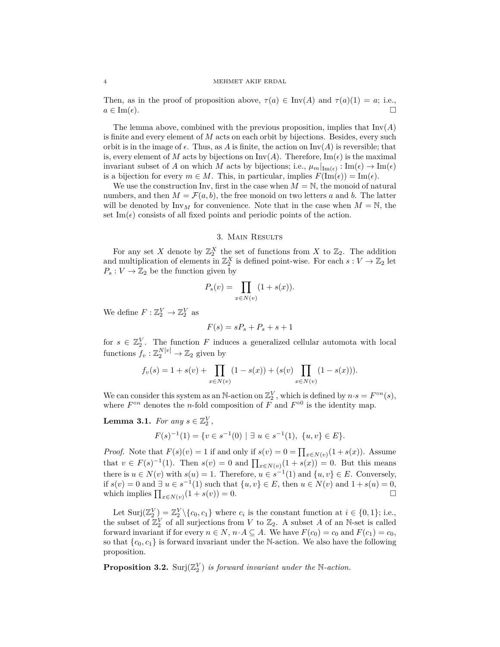Then, as in the proof of proposition above,  $\tau(a) \in Inv(A)$  and  $\tau(a)(1) = a$ ; i.e.,  $a \in \text{Im}(\epsilon).$ 

The lemma above, combined with the previous proposition, implies that  $\text{Inv}(A)$ is finite and every element of *M* acts on each orbit by bijections. Besides, every such orbit is in the image of  $\epsilon$ . Thus, as A is finite, the action on  $\text{Inv}(A)$  is reversible; that is, every element of *M* acts by bijections on  $Inv(A)$ . Therefore,  $Im(\epsilon)$  is the maximal invariant subset of *A* on which *M* acts by bijections; i.e.,  $\mu_m|_{\text{Im}(\epsilon)} : \text{Im}(\epsilon) \to \text{Im}(\epsilon)$ is a bijection for every  $m \in M$ . This, in particular, implies  $F(\text{Im}(\epsilon)) = \text{Im}(\epsilon)$ .

We use the construction Inv, first in the case when  $M = N$ , the monoid of natural numbers, and then  $M = \mathcal{F}(a, b)$ , the free monoid on two letters a and b. The latter will be denoted by  $\text{Inv}_M$  for convenience. Note that in the case when  $M = N$ , the set Im( $\epsilon$ ) consists of all fixed points and periodic points of the action.

### 3. Main Results

For any set *X* denote by  $\mathbb{Z}_2^X$  the set of functions from *X* to  $\mathbb{Z}_2$ . The addition and multiplication of elements in  $\mathbb{Z}_2^X$  is defined point-wise. For each  $s: V \to \mathbb{Z}_2$  let  $P_s: V \to \mathbb{Z}_2$  be the function given by

$$
P_s(v) = \prod_{x \in N(v)} (1 + s(x)).
$$

We define  $F: \mathbb{Z}_2^V \to \mathbb{Z}_2^V$  as

$$
F(s) = sP_s + P_s + s + 1
$$

for  $s \in \mathbb{Z}_2^V$ . The function *F* induces a generalized cellular automota with local functions  $f_v: \mathbb{Z}_2^{N[v]} \to \mathbb{Z}_2$  given by

$$
f_v(s) = 1 + s(v) + \prod_{x \in N(v)} (1 - s(x)) + (s(v) \prod_{x \in N(v)} (1 - s(x))).
$$

We can consider this system as an N-action on  $\mathbb{Z}_2^V$ , which is defined by  $n \cdot s = F^{\circ n}(s)$ , where  $F^{\circ n}$  denotes the *n*-fold composition of  $F$  and  $F^{\circ 0}$  is the identity map.

<span id="page-3-0"></span>**Lemma 3.1.** *For any*  $s \in \mathbb{Z}_2^V$ ,

$$
F(s)^{-1}(1) = \{ v \in s^{-1}(0) \mid \exists u \in s^{-1}(1), \ \{u, v\} \in E \}.
$$

*Proof.* Note that  $F(s)(v) = 1$  if and only if  $s(v) = 0 = \prod_{x \in N(v)} (1 + s(x))$ . Assume that  $v \in F(s)^{-1}(1)$ . Then  $s(v) = 0$  and  $\prod_{x \in N(v)} (1 + s(x)) = 0$ . But this means there is  $u \in N(v)$  with  $s(u) = 1$ . Therefore,  $u \in s^{-1}(1)$  and  $\{u, v\} \in E$ . Conversely, if *s*(*v*) = 0 and  $\exists u \in s^{-1}(1)$  such that {*u, v*} ∈ *E*, then *u* ∈  $N(v)$  and 1 + *s*(*u*) = 0, which implies  $\prod_{x \in N(v)} (1 + s(v)) = 0.$ 

Let  $\text{Surj}(\mathbb{Z}_2^V) = \mathbb{Z}_2^V \setminus \{c_0, c_1\}$  where  $c_i$  is the constant function at  $i \in \{0, 1\}$ ; i.e., the subset of  $\mathbb{Z}_2^V$  of all surjections from *V* to  $\mathbb{Z}_2$ . A subset *A* of an N-set is called forward invariant if for every  $n \in N$ ,  $n \cdot A \subseteq A$ . We have  $F(c_0) = c_0$  and  $F(c_1) = c_0$ , so that  $\{c_0, c_1\}$  is forward invariant under the N-action. We also have the following proposition.

**Proposition 3.2.** Surj $(\mathbb{Z}_2^V)$  *is forward invariant under the* N-action.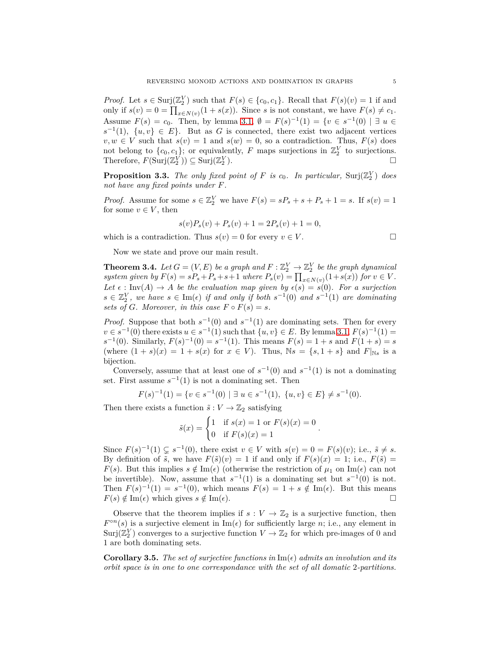*Proof.* Let  $s \in \text{Surj}(\mathbb{Z}_2^V)$  such that  $F(s) \in \{c_0, c_1\}$ . Recall that  $F(s)(v) = 1$  if and only if  $s(v) = 0 = \prod_{x \in N(v)} (1 + s(x))$ . Since *s* is not constant, we have  $F(s) \neq c_1$ . Assume  $F(s) = c_0$ . Then, by lemma [3.1,](#page-3-0)  $\emptyset = F(s)^{-1}(1) = \{v \in s^{-1}(0) \mid \exists u \in$  $s^{-1}(1)$ ,  $\{u, v\} \in E$ . But as *G* is connected, there exist two adjacent vertices  $v, w \in V$  such that  $s(v) = 1$  and  $s(w) = 0$ , so a contradiction. Thus,  $F(s)$  does not belong to  $\{c_0, c_1\}$ ; or equivalently, *F* maps surjections in  $\mathbb{Z}_2^V$  to surjections. Therefore,  $F(\text{Surj}(\mathbb{Z}_2^V)) \subseteq \text{Surj}(\mathbb{Z}_2^V)$ .

**Proposition 3.3.** The only fixed point of F is  $c_0$ . In particular,  $\text{Surj}(\mathbb{Z}_2^V)$  does *not have any fixed points under F.*

*Proof.* Assume for some  $s \in \mathbb{Z}_2^V$  we have  $F(s) = sP_s + s + P_s + 1 = s$ . If  $s(v) = 1$ for some  $v \in V$ , then

$$
s(v)P_s(v) + P_s(v) + 1 = 2P_s(v) + 1 = 0,
$$

which is a contradiction. Thus  $s(v) = 0$  for every  $v \in V$ .

Now we state and prove our main result.

<span id="page-4-0"></span>**Theorem 3.4.** Let  $G = (V, E)$  be a graph and  $F : \mathbb{Z}_2^V \to \mathbb{Z}_2^V$  be the graph dynamical *system given by*  $F(s) = sP_s + P_s + s + 1$  *where*  $P_s(v) = \prod_{x \in N(v)} (1 + s(x))$  *for*  $v \in V$ *.* Let  $\epsilon$  : Inv(A)  $\rightarrow$  *A be the evaluation map given by*  $\epsilon(s) = s(0)$ *. For a surjection*  $s \in \mathbb{Z}_2^V$ , we have  $s \in \text{Im}(\epsilon)$  *if and only if both*  $s^{-1}(0)$  *and*  $s^{-1}(1)$  *are dominating sets of G. Moreover, in this case*  $F \circ F(s) = s$ *.* 

*Proof.* Suppose that both  $s^{-1}(0)$  and  $s^{-1}(1)$  are dominating sets. Then for every  $v \in s^{-1}(0)$  there exists  $u \in s^{-1}(1)$  such that  $\{u, v\} \in E$ . By lemma [3.1,](#page-3-0)  $F(s)^{-1}(1) =$  $s^{-1}(0)$ . Similarly,  $F(s)^{-1}(0) = s^{-1}(1)$ . This means  $F(s) = 1 + s$  and  $F(1 + s) = s$ (where  $(1 + s)(x) = 1 + s(x)$  for  $x \in V$ ). Thus,  $\mathbb{N}s = \{s, 1 + s\}$  and  $F|_{\mathbb{N}s}$  is a bijection.

Conversely, assume that at least one of  $s^{-1}(0)$  and  $s^{-1}(1)$  is not a dominating set. First assume  $s^{-1}(1)$  is not a dominating set. Then

$$
F(s)^{-1}(1) = \{ v \in s^{-1}(0) \mid \exists u \in s^{-1}(1), \ \{u, v\} \in E \} \neq s^{-1}(0).
$$

Then there exists a function  $\tilde{s}: V \to \mathbb{Z}_2$  satisfying

$$
\tilde{s}(x) = \begin{cases} 1 & \text{if } s(x) = 1 \text{ or } F(s)(x) = 0 \\ 0 & \text{if } F(s)(x) = 1 \end{cases}.
$$

Since  $F(s)^{-1}(1) \subsetneq s^{-1}(0)$ , there exist  $v \in V$  with  $s(v) = 0 = F(s)(v)$ ; i.e.,  $\tilde{s} \neq s$ . By definition of  $\tilde{s}$ , we have  $F(\tilde{s})(v) = 1$  if and only if  $F(s)(x) = 1$ ; i.e.,  $F(\tilde{s}) =$ *F*(*s*). But this implies  $s \notin \text{Im}(\epsilon)$  (otherwise the restriction of  $\mu_1$  on  $\text{Im}(\epsilon)$  can not be invertible). Now, assume that  $s^{-1}(1)$  is a dominating set but  $s^{-1}(0)$  is not. Then  $F(s)^{-1}(1) = s^{-1}(0)$ , which means  $F(s) = 1 + s \notin \text{Im}(\epsilon)$ . But this means  $F(s) \notin \text{Im}(\epsilon)$  which gives  $s \notin \text{Im}(\epsilon)$ .

Observe that the theorem implies if  $s: V \to \mathbb{Z}_2$  is a surjective function, then  $F^{\circ n}(s)$  is a surjective element in  $\text{Im}(\epsilon)$  for sufficiently large *n*; i.e., any element in  $\text{Surj}(\mathbb{Z}_2^V)$  converges to a surjective function  $V \to \mathbb{Z}_2$  for which pre-images of 0 and 1 are both dominating sets.

**Corollary 3.5.** The set of surjective functions in  $\text{Im}(\epsilon)$  admits an involution and its *orbit space is in one to one correspondance with the set of all domatic* 2*-partitions.*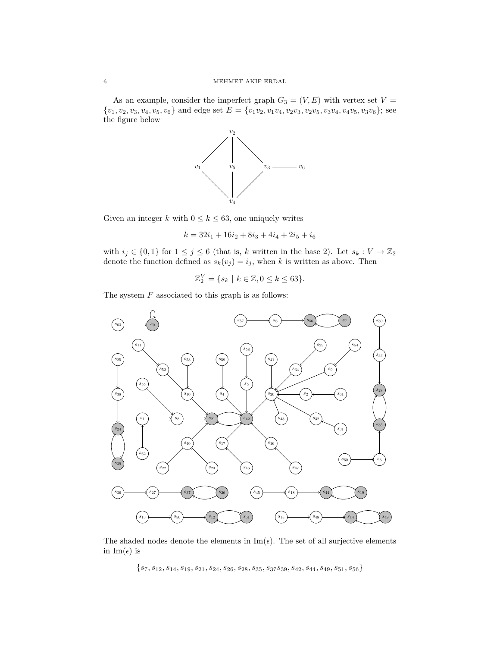As an example, consider the imperfect graph  $G_3 = (V, E)$  with vertex set  $V =$  $\{v_1, v_2, v_3, v_4, v_5, v_6\}$  and edge set  $E = \{v_1v_2, v_1v_4, v_2v_3, v_2v_5, v_3v_4, v_4v_5, v_3v_6\};$  see the figure below



Given an integer *k* with  $0 \le k \le 63$ , one uniquely writes

 $k = 32i_1 + 16i_2 + 8i_3 + 4i_4 + 2i_5 + i_6$ 

with  $i_j \in \{0,1\}$  for  $1 \leq j \leq 6$  (that is, *k* written in the base 2). Let  $s_k : V \to \mathbb{Z}_2$ denote the function defined as  $s_k(v_j) = i_j$ , when *k* is written as above. Then

$$
\mathbb{Z}_2^V = \{ s_k \mid k \in \mathbb{Z}, 0 \le k \le 63 \}.
$$

The system *F* associated to this graph is as follows:



The shaded nodes denote the elements in  $\text{Im}(\epsilon)$ . The set of all surjective elements in  $\text{Im}(\epsilon)$  is

{*s*7*, s*12*, s*14*, s*19*, s*21*, s*24*, s*26*, s*28*, s*35*, s*37*s*39*, s*42*, s*44*, s*49*, s*51*, s*56}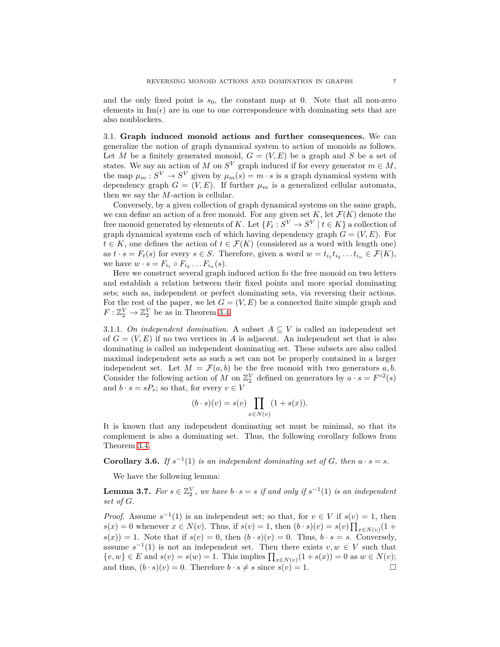and the only fixed point is  $s_0$ , the constant map at 0. Note that all non-zero elements in  $\text{Im}(\epsilon)$  are in one to one correspondence with dominating sets that are also nonblockers.

<span id="page-6-0"></span>3.1. **Graph induced monoid actions and further consequences.** We can generalize the notion of graph dynamical system to action of monoids as follows. Let *M* be a finitely generated monoid,  $G = (V, E)$  be a graph and *S* be a set of states. We say an action of *M* on  $S^V$  graph induced if for every generator  $m \in M$ , the map  $\mu_m: S^V \to S^V$  given by  $\mu_m(s) = m \cdot s$  is a graph dynamical system with dependency graph  $G = (V, E)$ . If further  $\mu_m$  is a generalized cellular automata, then we say the *M*-action is cellular.

Conversely, by a given collection of graph dynamical systems on the same graph, we can define an action of a free monoid. For any given set  $K$ , let  $\mathcal{F}(K)$  denote the free monoid generated by elements of *K*. Let  ${F_t : S^V \to S^V \mid t \in K}$  a collection of graph dynamical systems each of which having dependency graph  $G = (V, E)$ . For  $t \in K$ , one defines the action of  $t \in \mathcal{F}(K)$  (considered as a word with length one) as  $t \cdot s = F_t(s)$  for every  $s \in S$ . Therefore, given a word  $w = t_{i_1} t_{i_2} \dots t_{i_n} \in \mathcal{F}(K)$ , we have  $w \cdot s = F_{i_1} \circ F_{i_2} \dots F_{i_n}(s)$ .

Here we construct several graph induced action fo the free monoid on two letters and establish a relation between their fixed points and more special dominating sets; such as, independent or perfect dominating sets, via reversing their actions. For the rest of the paper, we let  $G = (V, E)$  be a connected finite simple graph and  $F: \mathbb{Z}_2^V \to \mathbb{Z}_2^V$  be as in Theorem [3.4.](#page-4-0)

3.1.1. *On independent domination*. A subset  $A \subseteq V$  is called an independent set of  $G = (V, E)$  if no two vertices in A is adjacent. An independent set that is also dominating is called an independent dominating set. These subsets are also called maximal independent sets as such a set can not be properly contained in a larger independent set. Let  $M = \mathcal{F}(a, b)$  be the free monoid with two generators a, b. Consider the following action of *M* on  $\mathbb{Z}_2^V$  defined on generators by  $a \cdot s = F^{\circ 2}(s)$ and  $b \cdot s = sP_s$ ; so that, for every  $v \in V$ 

$$
(b \cdot s)(v) = s(v) \prod_{x \in N(v)} (1 + s(x)).
$$

It is known that any independent dominating set must be minimal, so that its complement is also a dominating set. Thus, the following corollary follows from Theorem [3.4.](#page-4-0)

<span id="page-6-2"></span>**Corollary 3.6.** *If*  $s^{-1}(1)$  *is an independent dominating set of G, then*  $a \cdot s = s$ *.* 

We have the following lemma:

<span id="page-6-1"></span>**Lemma 3.7.** *For*  $s \in \mathbb{Z}_2^V$ , we have  $b \cdot s = s$  *if and only if*  $s^{-1}(1)$  *is an independent set of G.*

*Proof.* Assume  $s^{-1}(1)$  is an independent set; so that, for  $v \in V$  if  $s(v) = 1$ , then  $s(x) = 0$  whenever  $x \in N(v)$ . Thus, if  $s(v) = 1$ , then  $(b \cdot s)(v) = s(v) \prod_{x \in N(v)} (1 +$  $s(x) = 1$ . Note that if  $s(v) = 0$ , then  $(b \cdot s)(v) = 0$ . Thus,  $b \cdot s = s$ . Conversely, assume  $s^{-1}(1)$  is not an independent set. Then there exists  $v, w \in V$  such that { $v, w$ } ∈ *E* and  $s(v) = s(w) = 1$ . This implies  $\prod_{x \in N(v)} (1 + s(x)) = 0$  as  $w \in N(v)$ ; and thus,  $(b \cdot s)(v) = 0$ . Therefore  $b \cdot s \neq s$  since  $s(v) = 1$ .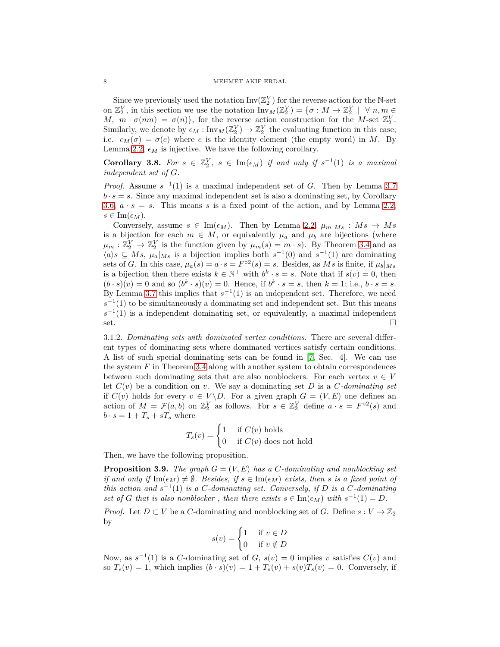#### 8 MEHMET AKIF ERDAL

Since we previously used the notation  $\text{Inv}(\mathbb{Z}_2^V)$  for the reverse action for the N-set on  $\mathbb{Z}_2^V$ , in this section we use the notation  $\text{Inv}_M(\mathbb{Z}_2^V) = \{\sigma : M \to \mathbb{Z}_2^V \mid \forall n, m \in \mathbb{Z}_2^V\}$ *M,*  $m \cdot \sigma(nm) = \sigma(n)$ , for the reverse action construction for the *M*-set  $\mathbb{Z}_2^V$ . Similarly, we denote by  $\epsilon_M : \text{Inv}_M(\mathbb{Z}_2^V) \to \mathbb{Z}_2^V$  the evaluating function in this case; i.e.  $\epsilon_M(\sigma) = \sigma(e)$  where *e* is the identity element (the empty word) in *M*. By Lemma [2.2,](#page-2-0)  $\epsilon_M$  is injective. We have the following corollary.

<span id="page-7-0"></span>**Corollary 3.8.** For  $s \in \mathbb{Z}_2^V$ ,  $s \in \text{Im}(\epsilon_M)$  if and only if  $s^{-1}(1)$  is a maximal *independent set of G.*

*Proof.* Assume  $s^{-1}(1)$  is a maximal independent set of *G*. Then by Lemma [3.7](#page-6-1)  $b \cdot s = s$ . Since any maximal independent set is also a dominating set, by Corollary [3.6,](#page-6-2)  $a \cdot s = s$ . This means *s* is a fixed point of the action, and by Lemma [2.2,](#page-2-0)  $s \in \text{Im}(\epsilon_M)$ .

Conversely, assume  $s \in \text{Im}(\epsilon_M)$ . Then by Lemma [2.2,](#page-2-0)  $\mu_m|_{Ms}: Ms \to Ms$ is a bijection for each  $m \in M$ , or equivalently  $\mu_a$  and  $\mu_b$  are bijections (where  $\mu_m: \mathbb{Z}_2^V \to \mathbb{Z}_2^V$  is the function given by  $\mu_m(s) = m \cdot s$ ). By Theorem [3.4](#page-4-0) and as  $\mathcal{A}_i(s)$   $\subseteq$  *Ms*,  $\mu_a|_{Ms}$  is a bijection implies both  $s^{-1}(0)$  and  $s^{-1}(1)$  are dominating sets of *G*. In this case,  $\mu_a(s) = a \cdot s = F^{\circ 2}(s) = s$ . Besides, as *Ms* is finite, if  $\mu_b|_{Ms}$ is a bijection then there exists  $k \in \mathbb{N}^+$  with  $b^k \cdot s = s$ . Note that if  $s(v) = 0$ , then  $(b \cdot s)(v) = 0$  and so  $(b^k \cdot s)(v) = 0$ . Hence, if  $b^k \cdot s = s$ , then  $k = 1$ ; i.e.,  $b \cdot s = s$ . By Lemma [3.7](#page-6-1) this implies that  $s^{-1}(1)$  is an independent set. Therefore, we need  $s^{-1}(1)$  to be simultaneously a dominating set and independent set. But this means  $s^{-1}(1)$  is a independent dominating set, or equivalently, a maximal independent set.

3.1.2. *Dominating sets with dominated vertex conditions.* There are several different types of dominating sets where dominated vertices satisfy certain conditions. A list of such special dominating sets can be found in [\[7,](#page-8-6) Sec. 4]. We can use the system *F* in Theorem [3.4](#page-4-0) along with another system to obtain correspondences between such dominating sets that are also nonblockers. For each vertex  $v \in V$ let  $C(v)$  be a condition on *v*. We say a dominating set *D* is a *C*-dominating set if  $C(v)$  holds for every  $v \in V \backslash D$ . For a given graph  $G = (V, E)$  one defines an action of  $M = \mathcal{F}(a, b)$  on  $\mathbb{Z}_2^V$  as follows. For  $s \in \mathbb{Z}_2^V$  define  $a \cdot s = F^{\circ 2}(s)$  and  $b \cdot s = 1 + T_s + sT_s$  where

$$
T_s(v) = \begin{cases} 1 & \text{if } C(v) \text{ holds} \\ 0 & \text{if } C(v) \text{ does not hold} \end{cases}
$$

Then, we have the following proposition.

<span id="page-7-1"></span>**Proposition 3.9.** *The graph*  $G = (V, E)$  *has a C*-dominating and nonblocking set *if and only if*  $\text{Im}(\epsilon_M) \neq \emptyset$ . Besides, if  $s \in \text{Im}(\epsilon_M)$  exists, then *s* is a fixed point of *this action and*  $s^{-1}(1)$  *is a C*-dominating set. Conversely, if *D is a C*-dominating *set of G that is also nonblocker, then there exists*  $s \in \text{Im}(\epsilon_M)$  *with*  $s^{-1}(1) = D$ *.* 

*Proof.* Let  $D \subset V$  be a *C*-dominating and nonblocking set of *G*. Define  $s: V \to \mathbb{Z}_2$ by

$$
s(v) = \begin{cases} 1 & \text{if } v \in D \\ 0 & \text{if } v \notin D \end{cases}
$$

Now, as  $s^{-1}(1)$  is a *C*-dominating set of *G*,  $s(v) = 0$  implies *v* satisfies  $C(v)$  and so  $T_s(v) = 1$ , which implies  $(b \cdot s)(v) = 1 + T_s(v) + s(v)T_s(v) = 0$ . Conversely, if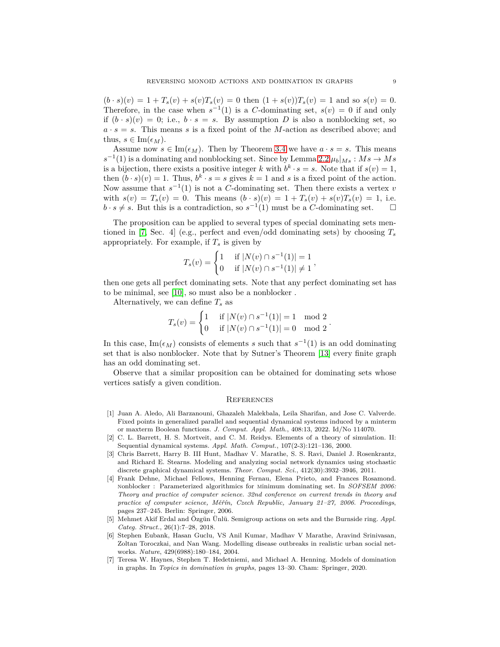$(b \cdot s)(v) = 1 + T_s(v) + s(v)T_s(v) = 0$  then  $(1 + s(v))T_s(v) = 1$  and so  $s(v) = 0$ . Therefore, in the case when  $s^{-1}(1)$  is a *C*-dominating set,  $s(v) = 0$  if and only if  $(b \cdot s)(v) = 0$ ; i.e.,  $b \cdot s = s$ . By assumption *D* is also a nonblocking set, so  $a \cdot s = s$ . This means *s* is a fixed point of the *M*-action as described above; and thus,  $s \in \text{Im}(\epsilon_M)$ .

Assume now  $s \in \text{Im}(\epsilon_M)$ . Then by Theorem [3.4](#page-4-0) we have  $a \cdot s = s$ . This means  $s^{-1}(1)$  is a dominating and nonblocking set. Since by Lemma [2.2](#page-2-0)  $\mu_b|_{Ms}: Ms \to Ms$ is a bijection, there exists a positive integer *k* with  $b^k \cdot s = s$ . Note that if  $s(v) = 1$ , then  $(b \cdot s)(v) = 1$ . Thus,  $b^k \cdot s = s$  gives  $k = 1$  and *s* is a fixed point of the action. Now assume that  $s^{-1}(1)$  is not a *C*-dominating set. Then there exists a vertex *v* with  $s(v) = T_s(v) = 0$ . This means  $(b \cdot s)(v) = 1 + T_s(v) + s(v)T_s(v) = 1$ , i.e.  $b \cdot s \neq s$ . But this is a contradiction, so  $s^{-1}(1)$  must be a *C*-dominating set.  $\square$ 

The proposition can be applied to several types of special dominating sets men-tioned in [\[7,](#page-8-6) Sec. 4] (e.g., perfect and even/odd dominating sets) by choosing  $T_s$ appropriately. For example, if  $T_s$  is given by

$$
T_s(v) = \begin{cases} 1 & \text{if } |N(v) \cap s^{-1}(1)| = 1 \\ 0 & \text{if } |N(v) \cap s^{-1}(1)| \neq 1 \end{cases},
$$

then one gets all perfect dominating sets. Note that any perfect dominating set has to be minimal, see [\[10\]](#page-9-5), so must also be a nonblocker .

Alternatively, we can define *T<sup>s</sup>* as

$$
T_s(v) = \begin{cases} 1 & \text{if } |N(v) \cap s^{-1}(1)| = 1 \mod 2 \\ 0 & \text{if } |N(v) \cap s^{-1}(1)| = 0 \mod 2 \end{cases}.
$$

In this case,  $\text{Im}(\epsilon_M)$  consists of elements *s* such that  $s^{-1}(1)$  is an odd dominating set that is also nonblocker. Note that by Sutner's Theorem [\[13\]](#page-9-4) every finite graph has an odd dominating set.

Observe that a similar proposition can be obtained for dominating sets whose vertices satisfy a given condition.

### **REFERENCES**

- <span id="page-8-4"></span>[1] Juan A. Aledo, Ali Barzanouni, Ghazaleh Malekbala, Leila Sharifan, and Jose C. Valverde. Fixed points in generalized parallel and sequential dynamical systems induced by a minterm or maxterm Boolean functions. *J. Comput. Appl. Math.*, 408:13, 2022. Id/No 114070.
- <span id="page-8-0"></span>[2] C. L. Barrett, H. S. Mortveit, and C. M. Reidys. Elements of a theory of simulation. II: Sequential dynamical systems. *Appl. Math. Comput.*, 107(2-3):121–136, 2000.
- <span id="page-8-2"></span>[3] Chris Barrett, Harry B. III Hunt, Madhav V. Marathe, S. S. Ravi, Daniel J. Rosenkrantz, and Richard E. Stearns. Modeling and analyzing social network dynamics using stochastic discrete graphical dynamical systems. *Theor. Comput. Sci.*, 412(30):3932–3946, 2011.
- <span id="page-8-5"></span>[4] Frank Dehne, Michael Fellows, Henning Fernau, Elena Prieto, and Frances Rosamond. nonblocker : Parameterized algorithmics for minimum dominating set. In *SOFSEM 2006: Theory and practice of computer science. 32nd conference on current trends in theory and practice of computer science, Měřín, Czech Republic, January 21–27, 2006. Proceedings*, pages 237–245. Berlin: Springer, 2006.
- <span id="page-8-3"></span>[5] Mehmet Akif Erdal and Özgün Ünlü. Semigroup actions on sets and the Burnside ring. *Appl. Categ. Struct.*, 26(1):7–28, 2018.
- <span id="page-8-1"></span>[6] Stephen Eubank, Hasan Guclu, VS Anil Kumar, Madhav V Marathe, Aravind Srinivasan, Zoltan Toroczkai, and Nan Wang. Modelling disease outbreaks in realistic urban social networks. *Nature*, 429(6988):180–184, 2004.
- <span id="page-8-6"></span>[7] Teresa W. Haynes, Stephen T. Hedetniemi, and Michael A. Henning. Models of domination in graphs. In *Topics in domination in graphs*, pages 13–30. Cham: Springer, 2020.